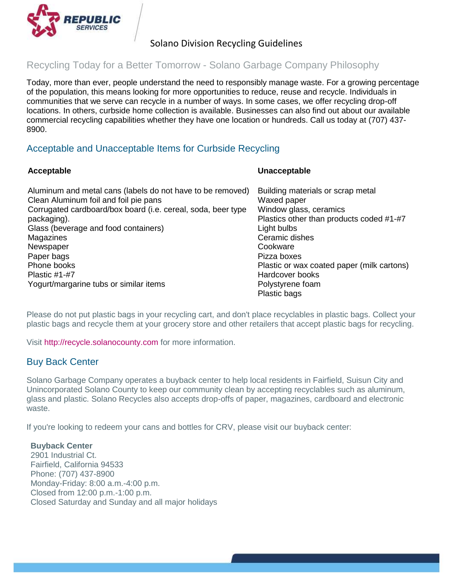

# Solano Division Recycling Guidelines

## Recycling Today for a Better Tomorrow - Solano Garbage Company Philosophy

Today, more than ever, people understand the need to responsibly manage waste. For a growing percentage of the population, this means looking for more opportunities to reduce, reuse and recycle. Individuals in communities that we serve can recycle in a number of ways. In some cases, we offer recycling drop-off locations. In others, curbside home collection is available. Businesses can also find out about our available commercial recycling capabilities whether they have one location or hundreds. Call us today at (707) 437- 8900.

## Acceptable and Unacceptable Items for Curbside Recycling

### **Acceptable**

#### **Unacceptable**

| Aluminum and metal cans (labels do not have to be removed)   | Building materials or scrap metal          |
|--------------------------------------------------------------|--------------------------------------------|
| Clean Aluminum foil and foil pie pans                        | Waxed paper                                |
| Corrugated cardboard/box board (i.e. cereal, soda, beer type | Window glass, ceramics                     |
| packaging).                                                  | Plastics other than products coded #1-#7   |
| Glass (beverage and food containers)                         | Light bulbs                                |
| Magazines                                                    | Ceramic dishes                             |
| Newspaper                                                    | Cookware                                   |
| Paper bags                                                   | Pizza boxes                                |
| Phone books                                                  | Plastic or wax coated paper (milk cartons) |
| Plastic $#1-#7$                                              | Hardcover books                            |
| Yogurt/margarine tubs or similar items                       | Polystyrene foam                           |
|                                                              | Plastic bags                               |

Please do not put plastic bags in your recycling cart, and don't place recyclables in plastic bags. Collect your plastic bags and recycle them at your grocery store and other retailers that accept plastic bags for recycling.

Visit [http://recycle.solanocounty.com](http://recycle.solanocounty.com/) for more information.

## Buy Back Center

Solano Garbage Company operates a buyback center to help local residents in Fairfield, Suisun City and Unincorporated Solano County to keep our community clean by accepting recyclables such as aluminum, glass and plastic. Solano Recycles also accepts drop-offs of paper, magazines, cardboard and electronic waste.

If you're looking to redeem your cans and bottles for CRV, please visit our buyback center:

### **Buyback Center**

2901 Industrial Ct. Fairfield, California 94533 Phone: (707) 437-8900 Monday-Friday: 8:00 a.m.-4:00 p.m. Closed from 12:00 p.m.-1:00 p.m. Closed Saturday and Sunday and all major holidays